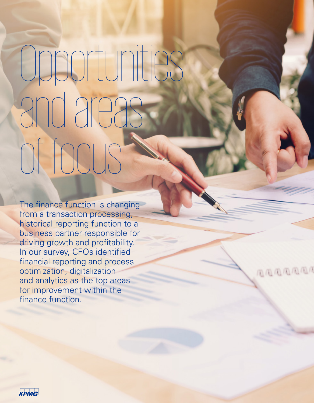## Opportunities and areas of focus

The finance function is changing from a transaction processing, historical reporting function to a business partner responsible for driving growth and profitability. In our survey, CFOs identified financial reporting and process optimization, digitalization and analytics as the top areas for improvement within the finance function.

国国国国国国国

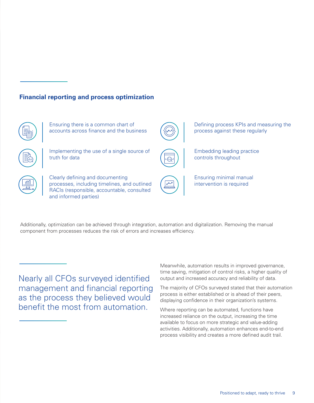## **Financial reporting and process optimization**



Ensuring there is a common chart of accounts across finance and the business



Implementing the use of a single source of truth for data



Clearly defining and documenting processes, including timelines, and outlined RACIs (responsible, accountable, consulted and informed parties)





Defining process KPIs and measuring the process against these regularly

Embedding leading practice controls throughout



Additionally, optimization can be achieved through integration, automation and digitalization. Removing the manual component from processes reduces the risk of errors and increases efficiency.

Nearly all CFOs surveyed identified management and financial reporting as the process they believed would benefit the most from automation.

Meanwhile, automation results in improved governance, time saving, mitigation of control risks, a higher quality of output and increased accuracy and reliability of data.

The majority of CFOs surveyed stated that their automation process is either established or is ahead of their peers, displaying confidence in their organization's systems.

Where reporting can be automated, functions have increased reliance on the output, increasing the time available to focus on more strategic and value-adding activities. Additionally, automation enhances end-to-end process visibility and creates a more defined audit trail.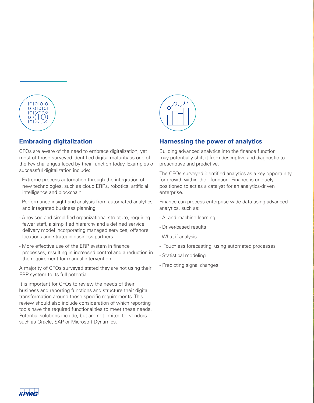

## **Embracing digitalization**

CFOs are aware of the need to embrace digitalization, yet most of those surveyed identified digital maturity as one of the key challenges faced by their function today. Examples of successful digitalization include:

- Extreme process automation through the integration of new technologies, such as cloud ERPs, robotics, artificial intelligence and blockchain
- Performance insight and analysis from automated analytics and integrated business planning
- A revised and simplified organizational structure, requiring fewer staff, a simplified hierarchy and a defined service delivery model incorporating managed services, offshore locations and strategic business partners
- More effective use of the ERP system in finance processes, resulting in increased control and a reduction in the requirement for manual intervention

A majority of CFOs surveyed stated they are not using their ERP system to its full potential.

It is important for CFOs to review the needs of their business and reporting functions and structure their digital transformation around these specific requirements. This review should also include consideration of which reporting tools have the required functionalities to meet these needs. Potential solutions include, but are not limited to, vendors such as Oracle, SAP or Microsoft Dynamics.



## **Harnessing the power of analytics**

Building advanced analytics into the finance function may potentially shift it from descriptive and diagnostic to prescriptive and predictive.

The CFOs surveyed identified analytics as a key opportunity for growth within their function. Finance is uniquely positioned to act as a catalyst for an analytics-driven enterprise.

Finance can process enterprise-wide data using advanced analytics, such as:

- AI and machine learning
- Driver-based results
- What-if analysis
- 'Touchless forecasting' using automated processes
- Statistical modeling
- Predicting signal changes